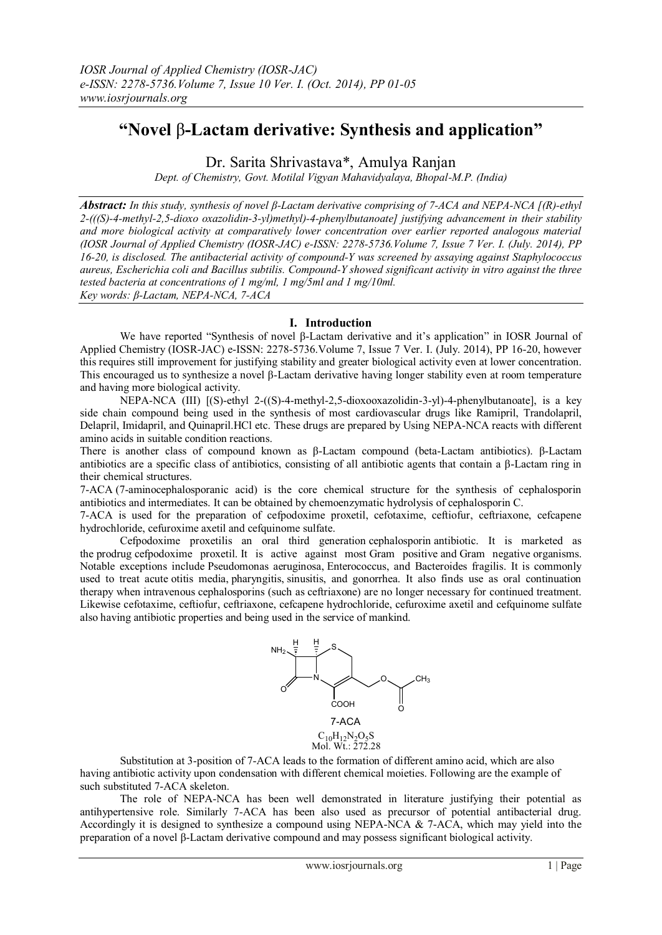# **"Novel** β**-Lactam derivative: Synthesis and application"**

Dr. Sarita Shrivastava\*, Amulya Ranjan

*Dept. of Chemistry, Govt. Motilal Vigyan Mahavidyalaya, Bhopal-M.P. (India)*

*Abstract: In this study, synthesis of novel β-Lactam derivative comprising of 7-ACA and NEPA-NCA [(R)-ethyl 2-(((S)-4-methyl-2,5-dioxo oxazolidin-3-yl)methyl)-4-phenylbutanoate] justifying advancement in their stability and more biological activity at comparatively lower concentration over earlier reported analogous material (IOSR Journal of Applied Chemistry (IOSR-JAC) e-ISSN: 2278-5736.Volume 7, Issue 7 Ver. I. (July. 2014), PP 16-20, is disclosed. The antibacterial activity of compound-Y was screened by assaying against Staphylococcus aureus, Escherichia coli and Bacillus subtilis. Compound-Y showed significant activity in vitro against the three tested bacteria at concentrations of 1 mg/ml, 1 mg/5ml and 1 mg/10ml. Key words: β-Lactam, NEPA-NCA, 7-ACA*

# **I. Introduction**

We have reported "Synthesis of novel β-Lactam derivative and it's application" in IOSR Journal of Applied Chemistry (IOSR-JAC) e-ISSN: 2278-5736.Volume 7, Issue 7 Ver. I. (July. 2014), PP 16-20, however this requires still improvement for justifying stability and greater biological activity even at lower concentration. This encouraged us to synthesize a novel β-Lactam derivative having longer stability even at room temperature and having more biological activity.

NEPA-NCA (III) [(S)-ethyl 2-((S)-4-methyl-2,5-dioxooxazolidin-3-yl)-4-phenylbutanoate], is a key side chain compound being used in the synthesis of most cardiovascular drugs like Ramipril, Trandolapril, Delapril, Imidapril, and Quinapril.HCl etc. These drugs are prepared by Using NEPA-NCA reacts with different amino acids in suitable condition reactions.

There is another class of compound known as β-Lactam compound (beta-Lactam antibiotics). β-Lactam antibiotics are a specific class of antibiotics, consisting of all antibiotic agents that contain a β-Lactam ring in their chemical structures.

7-ACA (7-aminocephalosporanic acid) is the core chemical structure for the synthesis of cephalosporin antibiotics and intermediates. It can be obtained by chemoenzymatic hydrolysis of cephalosporin C.

7-ACA is used for the preparation of cefpodoxime proxetil, cefotaxime, ceftiofur, ceftriaxone, cefcapene hydrochloride, cefuroxime axetil and [cefquinome sulfate.](https://scifinder.cas.org/scifinder/references/answers/BC519DE7X86F350ACX1B4DB2A52518314B55:BD1686C5X86F350ACX3E8EE6EF2AD5F21CE7/2.html?nav=eNpb85aBtYSBMbGEQcXJxdDMwszZNMLCzM3Y1MDROcLY1cLV1czVzcjRxdTNyNDZ1RyoNKm4iEEwK7EsUS8nMS9dzzOvJDU9tUjo0YIl3xvbLZgYGD0ZWMsSc0pTK4oYBBDq_Epzk1KL2tZMleWe8qCbiYGhooCBgYENaGBGCYO0Y2iIh39QvKdfmKtfCJDh5x_vHuQfGuDp517CwJmZW5BfVAI0obiQoY6BGaiPASianVsQlFqIIgoAfHQ7sA&key=caplus_2013:1084591&title=UHJlcGFyYXRpb24gb2YgY2VmcXVpbm9tZSBzdWxmYXRl&launchSrc=reflist&pageNum=1&sortKey=ACCESSION_NUMBER&sortOrder=DESCENDING)

Cefpodoxime proxetilis an oral third generation [cephalosporin](http://en.wikipedia.org/wiki/Cephalosporin) [antibiotic.](http://en.wikipedia.org/wiki/Antibiotic) It is marketed as the [prodrug](http://en.wikipedia.org/wiki/Prodrug) cefpodoxime proxetil. It is active against most [Gram positive](http://en.wikipedia.org/wiki/Gram_positive) and [Gram negative](http://en.wikipedia.org/wiki/Gram_negative) organisms. Notable exceptions include [Pseudomonas aeruginosa,](http://en.wikipedia.org/wiki/Pseudomonas_aeruginosa) [Enterococcus,](http://en.wikipedia.org/wiki/Enterococcus) and [Bacteroides fragilis.](http://en.wikipedia.org/wiki/Bacteroides_fragilis) It is commonly used to treat acute [otitis media,](http://en.wikipedia.org/wiki/Otitis_media) [pharyngitis,](http://en.wikipedia.org/wiki/Pharyngitis) [sinusitis,](http://en.wikipedia.org/wiki/Sinusitis) and gonorrhea. It also finds use as oral continuation therapy when [intravenous](http://en.wikipedia.org/wiki/Intravenous) cephalosporins (such as [ceftriaxone\)](http://en.wikipedia.org/wiki/Ceftriaxone) are no longer necessary for continued treatment. Likewise cefotaxime, ceftiofur, ceftriaxone, cefcapene hydrochloride, cefuroxime axetil and [cefquinome sulfate](https://scifinder.cas.org/scifinder/references/answers/BC519DE7X86F350ACX1B4DB2A52518314B55:BD1686C5X86F350ACX3E8EE6EF2AD5F21CE7/2.html?nav=eNpb85aBtYSBMbGEQcXJxdDMwszZNMLCzM3Y1MDROcLY1cLV1czVzcjRxdTNyNDZ1RyoNKm4iEEwK7EsUS8nMS9dzzOvJDU9tUjo0YIl3xvbLZgYGD0ZWMsSc0pTK4oYBBDq_Epzk1KL2tZMleWe8qCbiYGhooCBgYENaGBGCYO0Y2iIh39QvKdfmKtfCJDh5x_vHuQfGuDp517CwJmZW5BfVAI0obiQoY6BGaiPASianVsQlFqIIgoAfHQ7sA&key=caplus_2013:1084591&title=UHJlcGFyYXRpb24gb2YgY2VmcXVpbm9tZSBzdWxmYXRl&launchSrc=reflist&pageNum=1&sortKey=ACCESSION_NUMBER&sortOrder=DESCENDING) also having antibiotic properties and being used in the service of mankind.



Substitution at 3-position of 7-ACA leads to the formation of different amino acid, which are also having antibiotic activity upon condensation with different chemical moieties. Following are the example of such substituted 7-ACA skeleton.

The role of NEPA-NCA has been well demonstrated in literature justifying their potential as antihypertensive role. Similarly 7-ACA has been also used as precursor of potential antibacterial drug. Accordingly it is designed to synthesize a compound using NEPA-NCA  $& 7$ -ACA, which may yield into the preparation of a novel β-Lactam derivative compound and may possess significant biological activity.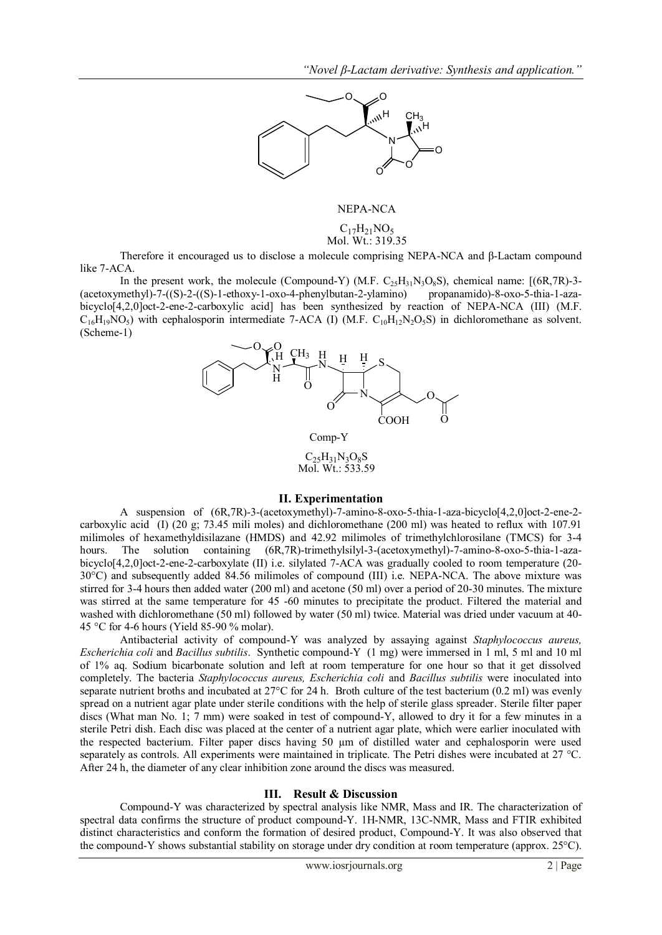

## NEPA-NCA

 $C_{17}H_{21}NO_5$ <br>Mol. Wt.: 319.35

Therefore it encouraged us to disclose a molecule comprising NEPA-NCA and β-Lactam compound like 7-ACA.

In the present work, the molecule (Compound-Y) (M.F.  $C_2,H_{31}N_3O_8S$ ), chemical name:  $[(6R,7R)-3-$ (acetoxymethyl)-7-((S)-2-((S)-1-ethoxy-1-oxo-4-phenylbutan-2-ylamino) propanamido)-8-oxo-5-thia-1-azabicyclo[4,2,0]oct-2-ene-2-carboxylic acid] has been synthesized by reaction of NEPA-NCA (III) (M.F.  $C_{16}H_{19}NO<sub>5</sub>$ ) with cephalosporin intermediate 7-ACA (I) (M.F.  $C_{10}H_{12}N_2O<sub>5</sub>$ S) in dichloromethane as solvent. (Scheme-1)



### **II. Experimentation**

A suspension of (6R,7R)-3-(acetoxymethyl)-7-amino-8-oxo-5-thia-1-aza-bicyclo[4,2,0]oct-2-ene-2 carboxylic acid (I) (20 g; 73.45 mili moles) and dichloromethane (200 ml) was heated to reflux with 107.91 milimoles of hexamethyldisilazane (HMDS) and 42.92 milimoles of trimethylchlorosilane (TMCS) for 3-4 hours. The solution containing  $(6R,7R)$ -trimethylsilyl-3-(acetoxymethyl)-7-amino-8-oxo-5-thia-1-azabicyclo[4,2,0]oct-2-ene-2-carboxylate (II) i.e. silylated 7-ACA was gradually cooled to room temperature (20- 30°C) and subsequently added 84.56 milimoles of compound (III) i.e. NEPA-NCA. The above mixture was stirred for 3-4 hours then added water (200 ml) and acetone (50 ml) over a period of 20-30 minutes. The mixture was stirred at the same temperature for 45 -60 minutes to precipitate the product. Filtered the material and washed with dichloromethane (50 ml) followed by water (50 ml) twice. Material was dried under vacuum at 40- 45 °C for 4-6 hours (Yield 85-90 % molar).

Antibacterial activity of compound-Y was analyzed by assaying against *Staphylococcus aureus, Escherichia coli* and *Bacillus subtilis*. Synthetic compound-Y (1 mg) were immersed in 1 ml, 5 ml and 10 ml of 1% aq. Sodium bicarbonate solution and left at room temperature for one hour so that it get dissolved completely. The bacteria *Staphylococcus aureus, Escherichia coli* and *Bacillus subtilis* were inoculated into separate nutrient broths and incubated at 27°C for 24 h. Broth culture of the test bacterium (0.2 ml) was evenly spread on a nutrient agar plate under sterile conditions with the help of sterile glass spreader. Sterile filter paper discs (What man No. 1; 7 mm) were soaked in test of compound-Y, allowed to dry it for a few minutes in a sterile Petri dish. Each disc was placed at the center of a nutrient agar plate, which were earlier inoculated with the respected bacterium. Filter paper discs having 50 µm of distilled water and cephalosporin were used separately as controls. All experiments were maintained in triplicate. The Petri dishes were incubated at 27 °C. After 24 h, the diameter of any clear inhibition zone around the discs was measured.

## **III. Result & Discussion**

Compound-Y was characterized by spectral analysis like NMR, Mass and IR. The characterization of spectral data confirms the structure of product compound-Y. 1H-NMR, 13C-NMR, Mass and FTIR exhibited distinct characteristics and conform the formation of desired product, Compound-Y. It was also observed that the compound-Y shows substantial stability on storage under dry condition at room temperature (approx. 25°C).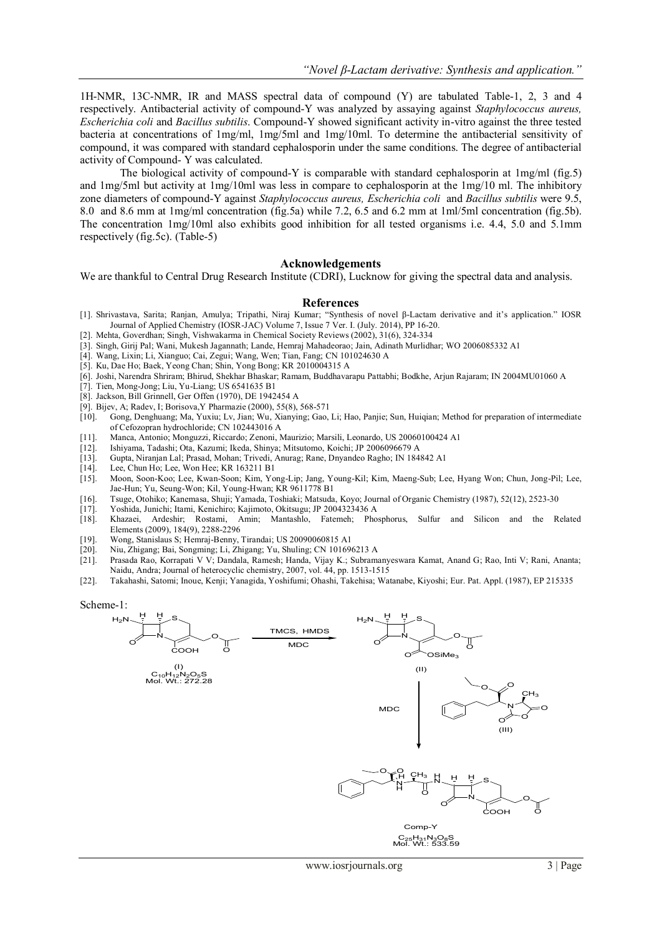1H-NMR, 13C-NMR, IR and MASS spectral data of compound (Y) are tabulated Table-1, 2, 3 and 4 respectively. Antibacterial activity of compound-Y was analyzed by assaying against *Staphylococcus aureus, Escherichia coli* and *Bacillus subtilis*. Compound-Y showed significant activity in-vitro against the three tested bacteria at concentrations of 1mg/ml, 1mg/5ml and 1mg/10ml. To determine the antibacterial sensitivity of compound, it was compared with standard cephalosporin under the same conditions. The degree of antibacterial activity of Compound- Y was calculated.

The biological activity of compound-Y is comparable with standard cephalosporin at  $1 \text{mg/ml (fig.5)}$ and 1mg/5ml but activity at 1mg/10ml was less in compare to cephalosporin at the 1mg/10 ml. The inhibitory zone diameters of compound-Y against *Staphylococcus aureus, Escherichia coli* and *Bacillus subtilis* were 9.5, 8.0 and 8.6 mm at 1mg/ml concentration (fig.5a) while 7.2, 6.5 and 6.2 mm at 1ml/5ml concentration (fig.5b). The concentration 1mg/10ml also exhibits good inhibition for all tested organisms i.e. 4.4, 5.0 and 5.1mm respectively (fig.5c). (Table-5)

## **Acknowledgements**

We are thankful to Central Drug Research Institute (CDRI), Lucknow for giving the spectral data and analysis.

#### **References**

- [1]. Shrivastava, Sarita; Ranjan, Amulya; Tripathi, Niraj Kumar; "Synthesis of novel β-Lactam derivative and it's application." IOSR Journal of Applied Chemistry (IOSR-JAC) Volume 7, Issue 7 Ver. I. (July. 2014), PP 16-20.
- [2]. Mehta, Goverdhan; Singh, Vishwakarma in Chemical Society Reviews (2002), 31(6), 324-334
- [3]. Singh, Girij Pal; Wani, Mukesh Jagannath; Lande, Hemraj Mahadeorao; Jain, Adinath Murlidhar; WO 2006085332 A1
- [4]. Wang, Lixin; Li, Xianguo; Cai, Zegui; Wang, Wen; Tian, Fang; CN 101024630 A
- [5]. Ku, Dae Ho; Baek, Yeong Chan; Shin, Yong Bong; KR 2010004315 A
- [6]. Joshi, Narendra Shriram; Bhirud, Shekhar Bhaskar; Ramam, Buddhavarapu Pattabhi; Bodkhe, Arjun Rajaram; IN 2004MU01060 A
- [7]. Tien, Mong-Jong; Liu, Yu-Liang; US 6541635 B1
- [8]. Jackson, Bill Grinnell, Ger Offen (1970), DE 1942454 A
- [9]. Bijev, A; Radev, I; Borisova, Y Pharmazie (2000), 55(8), 568-571 [10]. Gong, Denghuang; Ma, Yuxiu; Lv, Jian; Wu, Xianying; Gao,
- [10]. Gong, Denghuang; Ma, Yuxiu; Lv, Jian; Wu, Xianying; Gao, Li; Hao, Panjie; Sun, Huiqian; [Method for preparation of intermediate](https://scifinder.cas.org/scifinder/references/answers/9E024B0AX86F350ACX4E7321422BE3B90DFC:9E04C893X86F350ACX52D9ED3D3F9897608E/1.html?nav=eNpb85aBtYSBMbGEQcXS1cDE2cLSOMLCzM3Y1MDROcLUyMXS1cXYxdjN0sLS3MzAwhWoNKm4iEEwK7EsUS8nMS9dzzOvJDU9tUjo0YIl3xvbLZgYGD0ZWMsSc0pTK4oYBBDq_Epzk1KL2tZMleWe8qCbiYGhooCBAWx3RgmDtGNoiId_ULynX5irXwiQ4ecf7x7kHxrg6edewsCZmVuQX1QCNKG4kKGOgRmojwEomp1bEJRaiCIKAFZTO3c&key=caplus_2012:684185&title=TWV0aG9kIGZvciBwcmVwYXJhdGlvbiBvZiBpbnRlcm1lZGlhdGUgb2YgQ2Vmb3pvcHJhbiBoeWRyb2NobG9yaWRl&launchSrc=reflist&pageNum=1&sortKey=ACCESSION_NUMBER&sortOrder=DESCENDING)  [of Cefozopran hydrochloride;](https://scifinder.cas.org/scifinder/references/answers/9E024B0AX86F350ACX4E7321422BE3B90DFC:9E04C893X86F350ACX52D9ED3D3F9897608E/1.html?nav=eNpb85aBtYSBMbGEQcXS1cDE2cLSOMLCzM3Y1MDROcLUyMXS1cXYxdjN0sLS3MzAwhWoNKm4iEEwK7EsUS8nMS9dzzOvJDU9tUjo0YIl3xvbLZgYGD0ZWMsSc0pTK4oYBBDq_Epzk1KL2tZMleWe8qCbiYGhooCBAWx3RgmDtGNoiId_ULynX5irXwiQ4ecf7x7kHxrg6edewsCZmVuQX1QCNKG4kKGOgRmojwEomp1bEJRaiCIKAFZTO3c&key=caplus_2012:684185&title=TWV0aG9kIGZvciBwcmVwYXJhdGlvbiBvZiBpbnRlcm1lZGlhdGUgb2YgQ2Vmb3pvcHJhbiBoeWRyb2NobG9yaWRl&launchSrc=reflist&pageNum=1&sortKey=ACCESSION_NUMBER&sortOrder=DESCENDING) CN 102443016 A
- [11]. Manca, Antonio; Monguzzi, Riccardo; Zenoni, Maurizio; Marsili, Leonardo, US 20060100424 A1
- [12]. Ishiyama, Tadashi; Ota, Kazumi; Ikeda, Shinya; Mitsutomo, Koichi; JP 2006096679 A
- [13]. Gupta, Niranjan Lal; Prasad, Mohan; Trivedi, Anurag; Rane, Dnyandeo Ragho; IN 184842 A1
- Lee, Chun Ho; Lee, Won Hee; KR 163211 B1
- [15]. Moon, Soon-Koo; Lee, Kwan-Soon; Kim, Yong-Lip; Jang, Young-Kil; Kim, Maeng-Sub; Lee, Hyang Won; Chun, Jong-Pil; Lee, Jae-Hun; Yu, Seung-Won; Kil, Young-Hwan; KR 9611778 B1
- [16]. Tsuge, Otohiko; Kanemasa, Shuji; Yamada, Toshiaki; Matsuda, Koyo; Journal of Organic Chemistry (1987), 52(12), 2523-30
- [17]. Yoshida, Junichi; Itami, Kenichiro; Kajimoto, Okitsugu; JP 2004323436 A
- [18]. Khazaei, Ardeshir; Rostami, Amin; Mantashlo, Fatemeh; Phosphorus, Sulfur and Silicon and the Related Elements (2009), 184(9), 2288-2296
- 
- [19]. Wong, Stanislaus S; Hemraj-Benny, Tirandai; US 20090060815 A1 [20]. Niu, Zhigang; Bai, Songming; Li, Zhigang; Yu, Shuling; CN 101696213 A
- [21]. Prasada Rao, Korrapati V V; Dandala, Ramesh; Handa, Vijay K.; Subramanyeswara Kamat, Anand G; Rao, Inti V; Rani, Ananta; Naidu, Andra; [Journal of heterocyclic chemistry,](http://www.refdoc.fr/?traduire=en&FormRechercher=submit&FormRechercher_Txt_Recherche_name_attr=listeTitreSerie:%20(Journal%20of%20heterocyclic%20chemistry)) 2007, vol. 44, pp. 1513-1515
- [22]. Takahashi, Satomi; Inoue, Kenji; Yanagida, Yoshifumi; Ohashi, Takehisa; Watanabe, Kiyoshi; Eur. Pat. Appl. (1987), EP 215335

Scheme-1:

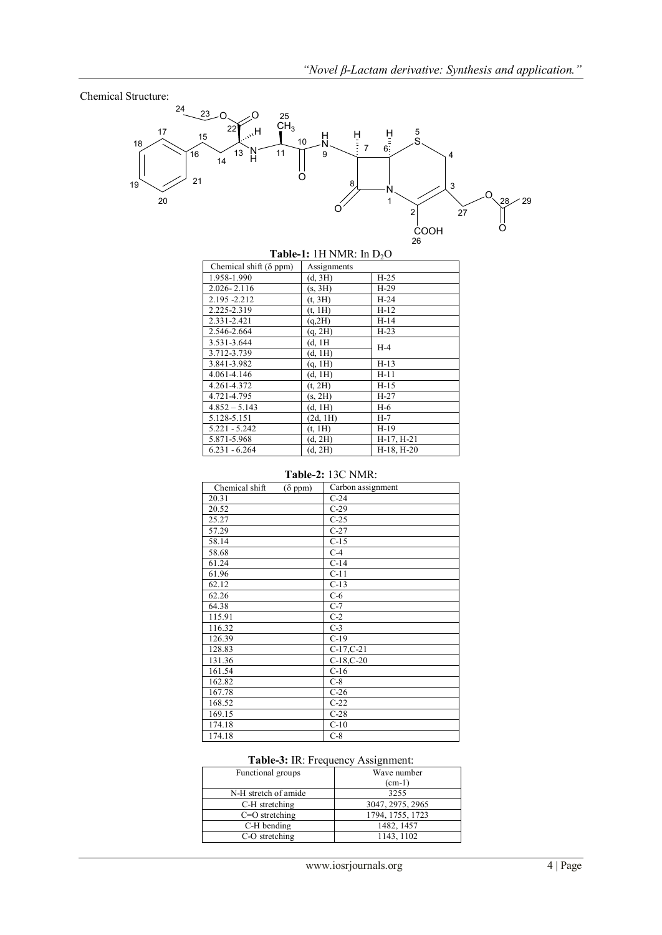## Chemical Structure:



# **Table-1:** 1H NMR: In D<sub>2</sub>O

| Chemical shift $(\delta$ ppm) | Assignments |              |  |
|-------------------------------|-------------|--------------|--|
| 1.958-1.990                   | (d, 3H)     | $H-25$       |  |
| 2.026-2.116                   | (s, 3H)     | $H-29$       |  |
| 2.195 - 2.212                 | (t, 3H)     | $H-24$       |  |
| 2.225-2.319                   | (t, 1H)     | $H-12$       |  |
| 2.331-2.421                   | (q, 2H)     | $H-14$       |  |
| 2.546-2.664                   | (q, 2H)     | $H-23$       |  |
| 3.531-3.644                   | (d, 1H)     | $H-4$        |  |
| 3.712-3.739                   | (d, 1H)     |              |  |
| 3.841-3.982                   | (q, 1H)     | $H-13$       |  |
| 4.061-4.146                   | (d, 1H)     | $H-11$       |  |
| 4.261-4.372                   | (t, 2H)     | $H-15$       |  |
| 4.721-4.795                   | (s, 2H)     | $H-27$       |  |
| $4.852 - 5.143$               | (d, 1H)     | H-6          |  |
| 5.128-5.151                   | (2d, 1H)    | H-7          |  |
| $5.221 - 5.242$               | (t, 1H)     | $H-19$       |  |
| 5.871-5.968                   | (d, 2H)     | H-17, H-21   |  |
| $6.231 - 6.264$               | (d, 2H)     | $H-18, H-20$ |  |

# **Table-2:** 13C NMR:

| Chemical shift | $(\delta$ ppm) | Carbon assignment |  |  |  |  |
|----------------|----------------|-------------------|--|--|--|--|
| 20.31          |                | $C-24$            |  |  |  |  |
| 20.52          |                | $C-29$            |  |  |  |  |
| 25.27          |                | $C-25$            |  |  |  |  |
| 57.29          |                | $C-27$            |  |  |  |  |
| 58.14          |                | $C-15$            |  |  |  |  |
| 58.68          |                | $C-4$             |  |  |  |  |
| 61.24          |                | $C-14$            |  |  |  |  |
| 61.96          |                | $C-11$            |  |  |  |  |
| 62.12          |                | $C-13$            |  |  |  |  |
| 62.26          |                | $C-6$             |  |  |  |  |
| 64.38          |                | $C-7$             |  |  |  |  |
| 115.91         |                | $C-2$             |  |  |  |  |
| 116.32         |                | $C-3$             |  |  |  |  |
| 126.39         |                | $C-19$            |  |  |  |  |
| 128.83         |                | $C-17, C-21$      |  |  |  |  |
| 131.36         |                | $C-18$ , $C-20$   |  |  |  |  |
| 161.54         |                | $C-16$            |  |  |  |  |
| 162.82         |                | $C-8$             |  |  |  |  |
| 167.78         |                | $C-26$            |  |  |  |  |
| 168.52         |                | $C-22$            |  |  |  |  |
| 169.15         |                | $C-28$            |  |  |  |  |
| 174.18         |                | $C-10$            |  |  |  |  |
| 174.18         |                | $C-8$             |  |  |  |  |

# **Table-3:** IR: Frequency Assignment:

| Functional groups    | Wave number<br>$(cm-1)$ |
|----------------------|-------------------------|
| N-H stretch of amide | 3255                    |
| C-H stretching       | 3047, 2975, 2965        |
| $C=O$ stretching     | 1794, 1755, 1723        |
| C-H bending          | 1482, 1457              |
| C-O stretching       | 1143, 1102              |